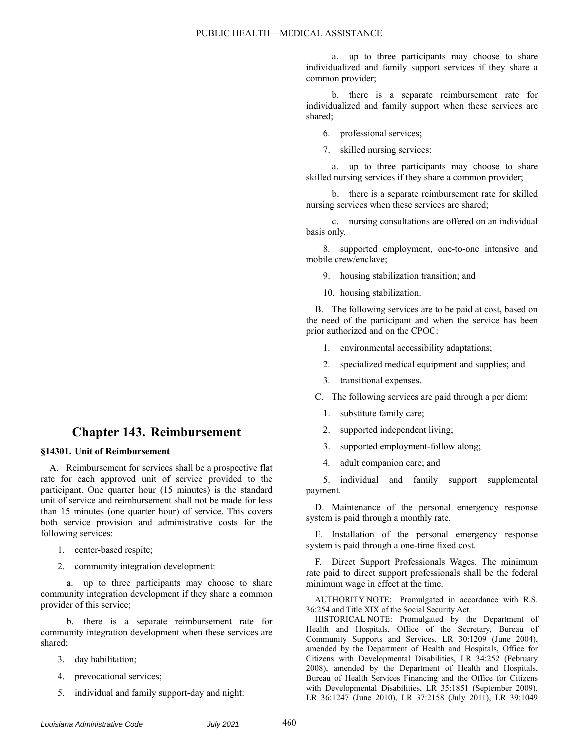a. up to three participants may choose to share individualized and family support services if they share a common provider;

b. there is a separate reimbursement rate for individualized and family support when these services are shared;

6. professional services;

7. skilled nursing services:

a. up to three participants may choose to share skilled nursing services if they share a common provider;

b. there is a separate reimbursement rate for skilled nursing services when these services are shared;

c. nursing consultations are offered on an individual basis only.

8. supported employment, one-to-one intensive and mobile crew/enclave;

9. housing stabilization transition; and

10. housing stabilization.

B. The following services are to be paid at cost, based on the need of the participant and when the service has been prior authorized and on the CPOC:

1. environmental accessibility adaptations;

- 2. specialized medical equipment and supplies; and
- 3. transitional expenses.

C. The following services are paid through a per diem:

- 1. substitute family care;
- 2. supported independent living;
- 3. supported employment-follow along;
- 4. adult companion care; and

5. individual and family support supplemental payment.

D. Maintenance of the personal emergency response system is paid through a monthly rate.

E. Installation of the personal emergency response system is paid through a one-time fixed cost.

F. Direct Support Professionals Wages. The minimum rate paid to direct support professionals shall be the federal minimum wage in effect at the time.

AUTHORITY NOTE: Promulgated in accordance with R.S. 36:254 and Title XIX of the Social Security Act.

HISTORICAL NOTE: Promulgated by the Department of Health and Hospitals, Office of the Secretary, Bureau of Community Supports and Services, LR 30:1209 (June 2004), amended by the Department of Health and Hospitals, Office for Citizens with Developmental Disabilities, LR 34:252 (February 2008), amended by the Department of Health and Hospitals, Bureau of Health Services Financing and the Office for Citizens with Developmental Disabilities, LR 35:1851 (September 2009), LR 36:1247 (June 2010), LR 37:2158 (July 2011), LR 39:1049

## **Chapter 143. Reimbursement**

## **§14301. Unit of Reimbursement**

A. Reimbursement for services shall be a prospective flat rate for each approved unit of service provided to the participant. One quarter hour (15 minutes) is the standard unit of service and reimbursement shall not be made for less than 15 minutes (one quarter hour) of service. This covers both service provision and administrative costs for the following services:

- 1. center-based respite;
- 2. community integration development:

a. up to three participants may choose to share community integration development if they share a common provider of this service;

b. there is a separate reimbursement rate for community integration development when these services are shared;

- 3. day habilitation;
- 4. prevocational services;
- 5. individual and family support-day and night: